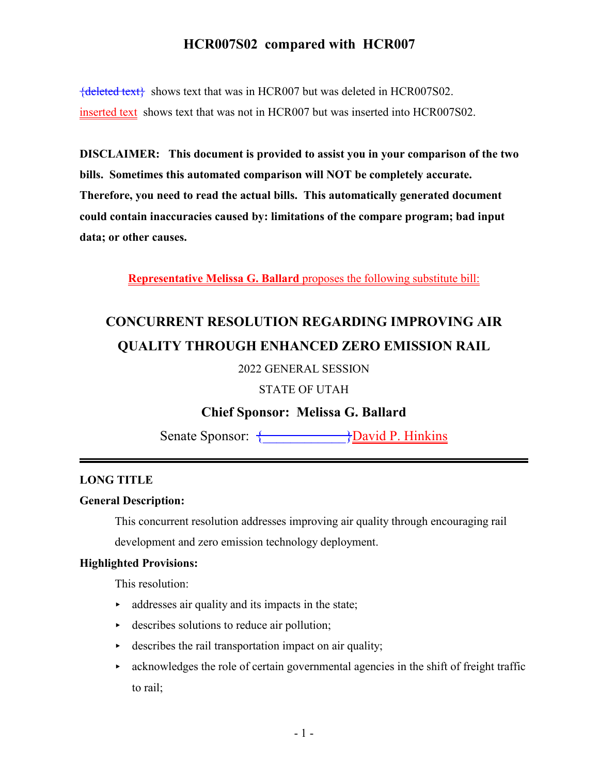${deleted text}$  shows text that was in HCR007 but was deleted in HCR007S02. inserted text shows text that was not in HCR007 but was inserted into HCR007S02.

**DISCLAIMER: This document is provided to assist you in your comparison of the two bills. Sometimes this automated comparison will NOT be completely accurate. Therefore, you need to read the actual bills. This automatically generated document could contain inaccuracies caused by: limitations of the compare program; bad input data; or other causes.**

**Representative Melissa G. Ballard** proposes the following substitute bill:

# **CONCURRENT RESOLUTION REGARDING IMPROVING AIR QUALITY THROUGH ENHANCED ZERO EMISSION RAIL**

2022 GENERAL SESSION

STATE OF UTAH

**Chief Sponsor: Melissa G. Ballard**

Senate Sponsor:  $\overbrace{\}$ David P. Hinkins

#### **LONG TITLE**

#### **General Description:**

This concurrent resolution addresses improving air quality through encouraging rail

development and zero emission technology deployment.

#### **Highlighted Provisions:**

This resolution:

- $\rightarrow$  addresses air quality and its impacts in the state;
- $\rightarrow$  describes solutions to reduce air pollution;
- $\rightarrow$  describes the rail transportation impact on air quality;
- $\triangleright$  acknowledges the role of certain governmental agencies in the shift of freight traffic to rail;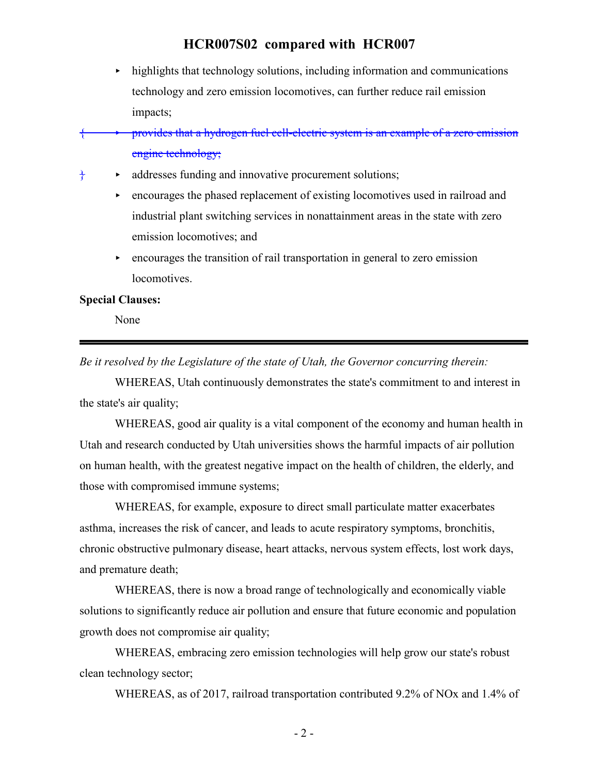- $\blacktriangleright$  highlights that technology solutions, including information and communications technology and zero emission locomotives, can further reduce rail emission impacts;
- { < provides that a hydrogen fuel cell-electric system is an example of a zero emission engine technology;
- $\frac{1}{3}$   $\bullet$  addresses funding and innovative procurement solutions;
	- $\rightarrow$  encourages the phased replacement of existing locomotives used in railroad and industrial plant switching services in nonattainment areas in the state with zero emission locomotives; and
	- $\rightarrow$  encourages the transition of rail transportation in general to zero emission locomotives.

#### **Special Clauses:**

None

*Be it resolved by the Legislature of the state of Utah, the Governor concurring therein:*

WHEREAS, Utah continuously demonstrates the state's commitment to and interest in the state's air quality;

WHEREAS, good air quality is a vital component of the economy and human health in Utah and research conducted by Utah universities shows the harmful impacts of air pollution on human health, with the greatest negative impact on the health of children, the elderly, and those with compromised immune systems;

WHEREAS, for example, exposure to direct small particulate matter exacerbates asthma, increases the risk of cancer, and leads to acute respiratory symptoms, bronchitis, chronic obstructive pulmonary disease, heart attacks, nervous system effects, lost work days, and premature death;

WHEREAS, there is now a broad range of technologically and economically viable solutions to significantly reduce air pollution and ensure that future economic and population growth does not compromise air quality;

WHEREAS, embracing zero emission technologies will help grow our state's robust clean technology sector;

WHEREAS, as of 2017, railroad transportation contributed 9.2% of NOx and 1.4% of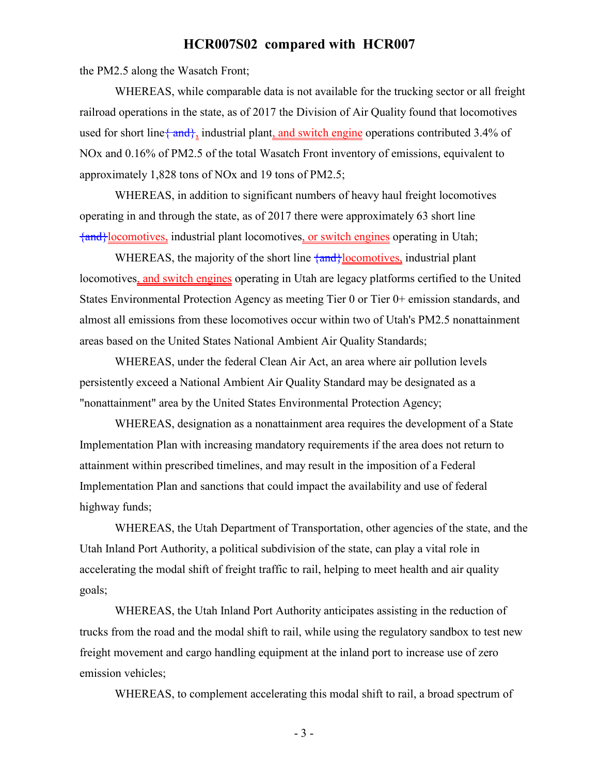the PM2.5 along the Wasatch Front;

WHEREAS, while comparable data is not available for the trucking sector or all freight railroad operations in the state, as of 2017 the Division of Air Quality found that locomotives used for short line  $\{\text{and}\}$ , industrial plant, and switch engine operations contributed 3.4% of NOx and 0.16% of PM2.5 of the total Wasatch Front inventory of emissions, equivalent to approximately 1,828 tons of NOx and 19 tons of PM2.5;

WHEREAS, in addition to significant numbers of heavy haul freight locomotives operating in and through the state, as of 2017 there were approximately 63 short line {and}locomotives, industrial plant locomotives, or switch engines operating in Utah;

WHEREAS, the majority of the short line  $\frac{1}{2}$  and  $\frac{1}{2}$  comotives, industrial plant locomotives, and switch engines operating in Utah are legacy platforms certified to the United States Environmental Protection Agency as meeting Tier 0 or Tier 0+ emission standards, and almost all emissions from these locomotives occur within two of Utah's PM2.5 nonattainment areas based on the United States National Ambient Air Quality Standards;

WHEREAS, under the federal Clean Air Act, an area where air pollution levels persistently exceed a National Ambient Air Quality Standard may be designated as a "nonattainment" area by the United States Environmental Protection Agency;

WHEREAS, designation as a nonattainment area requires the development of a State Implementation Plan with increasing mandatory requirements if the area does not return to attainment within prescribed timelines, and may result in the imposition of a Federal Implementation Plan and sanctions that could impact the availability and use of federal highway funds;

WHEREAS, the Utah Department of Transportation, other agencies of the state, and the Utah Inland Port Authority, a political subdivision of the state, can play a vital role in accelerating the modal shift of freight traffic to rail, helping to meet health and air quality goals;

WHEREAS, the Utah Inland Port Authority anticipates assisting in the reduction of trucks from the road and the modal shift to rail, while using the regulatory sandbox to test new freight movement and cargo handling equipment at the inland port to increase use of zero emission vehicles;

WHEREAS, to complement accelerating this modal shift to rail, a broad spectrum of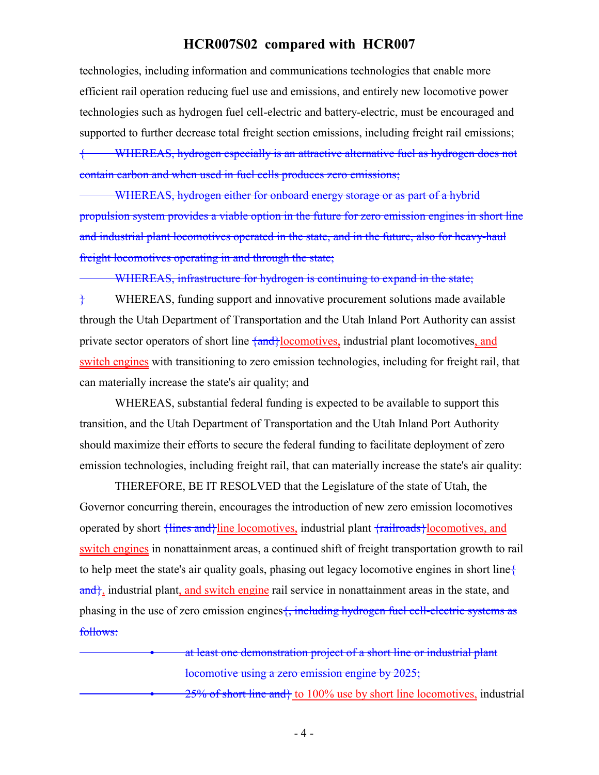technologies, including information and communications technologies that enable more efficient rail operation reducing fuel use and emissions, and entirely new locomotive power technologies such as hydrogen fuel cell-electric and battery-electric, must be encouraged and supported to further decrease total freight section emissions, including freight rail emissions;

WHEREAS, hydrogen especially is an attractive alternative fuel as hydrogen does not contain carbon and when used in fuel cells produces zero emissions;

WHEREAS, hydrogen either for onboard energy storage or as part of a hybrid propulsion system provides a viable option in the future for zero emission engines in short line and industrial plant locomotives operated in the state, and in the future, also for heavy-haul freight locomotives operating in and through the state;

WHEREAS, infrastructure for hydrogen is continuing to expand in the state;

 $\dagger$  WHEREAS, funding support and innovative procurement solutions made available through the Utah Department of Transportation and the Utah Inland Port Authority can assist private sector operators of short line  $\frac{1}{2}$  (and identical plant locomotives, and switch engines with transitioning to zero emission technologies, including for freight rail, that can materially increase the state's air quality; and

WHEREAS, substantial federal funding is expected to be available to support this transition, and the Utah Department of Transportation and the Utah Inland Port Authority should maximize their efforts to secure the federal funding to facilitate deployment of zero emission technologies, including freight rail, that can materially increase the state's air quality:

THEREFORE, BE IT RESOLVED that the Legislature of the state of Utah, the Governor concurring therein, encourages the introduction of new zero emission locomotives operated by short  $\frac{1}{2}$  {lines and } line locomotives, industrial plant  $\frac{1}{2}$  {railroads } locomotives, and switch engines in nonattainment areas, a continued shift of freight transportation growth to rail to help meet the state's air quality goals, phasing out legacy locomotive engines in short line{ and, industrial plant, and switch engine rail service in nonattainment areas in the state, and phasing in the use of zero emission engines  $\frac{1}{2}$ , including hydrogen fuel cell-electric systems as follows:

> at least one demonstration project of a short line or industrial plant locomotive using a zero emission engine by 2025;

 $25\%$  of short line and} to 100% use by short line locomotives, industrial